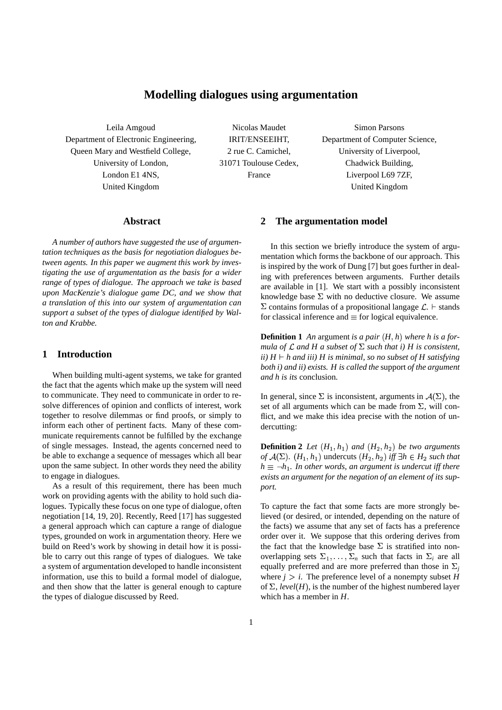# **Modelling dialogues using argumentation**

Leila Amgoud Department of Electronic Engineering, Queen Mary and Westfield College, University of London, London E1 4NS, United Kingdom

Nicolas Maudet IRIT/ENSEEIHT, 2 rue C. Camichel, 31071 Toulouse Cedex, France

Simon Parsons Department of Computer Science, University of Liverpool, Chadwick Building, Liverpool L69 7ZF, United Kingdom

### **Abstract**

*A number of authors have suggested the use of argumentation techniques as the basis for negotiation dialogues between agents. In this paper we augment this work by investigating the use of argumentation as the basis for a wider range of types of dialogue. The approach we take is based upon MacKenzie's dialogue game DC, and we show that a translation of this into our system of argumentation can support a subset of the types of dialogue identified by Walton and Krabbe.*

# **1 Introduction**

When building multi-agent systems, we take for granted the fact that the agents which make up the system will need to communicate. They need to communicate in order to resolve differences of opinion and conflicts of interest, work together to resolve dilemmas or find proofs, or simply to inform each other of pertinent facts. Many of these communicate requirements cannot be fulfilled by the exchange of single messages. Instead, the agents concerned need to be able to exchange a sequence of messages which all bear upon the same subject. In other words they need the ability to engage in dialogues.

As a result of this requirement, there has been much work on providing agents with the ability to hold such dialogues. Typically these focus on one type of dialogue, often negotiation [14, 19, 20]. Recently, Reed [17] has suggested a general approach which can capture a range of dialogue types, grounded on work in argumentation theory. Here we build on Reed's work by showing in detail how it is possible to carry out this range of types of dialogues. We take a system of argumentation developed to handle inconsistent information, use this to build a formal model of dialogue, and then show that the latter is general enough to capture the types of dialogue discussed by Reed.

### **2 The argumentation model**

In this section we briefly introduce the system of argumentation which forms the backbone of our approach. This is inspired by the work of Dung [7] but goes further in dealing with preferences between arguments. Further details are available in [1]. We start with a possibly inconsistent knowledge base  $\Sigma$  with no deductive closure. We assume  $\Sigma$  contains formulas of a propositional langage  $\mathcal{L}$ .  $\vdash$  stands for classical inference and  $\equiv$  for logical equivalence.

**Definition 1** An argument *is a* pair  $(H, h)$  where *h is a formula* of  $L$  and  $H$  a subset of  $\Sigma$  such that *i*)  $H$  is consistent,  $i$ *ii*)  $H \vdash h$  *and*  $i$ *ii*)  $H$  *is minimal, so no subset of*  $H$  *satisfying both i) and ii) exists. H is called the* support *of the argument and h is its* conclusion*.*

In general, since  $\Sigma$  is inconsistent, arguments in  $\mathcal{A}(\Sigma)$ , the set of all arguments which can be made from  $\Sigma$ , will conflict, and we make this idea precise with the notion of undercutting:

**Definition 2** Let  $(H_1, h_1)$  and  $(H_2, h_2)$  be two arguments  $\alpha f$   $\mathcal{A}(\Sigma)$ .  $(H_1, h_1)$  undercuts  $(H_2, h_2)$  *iff*  $\exists h \in H_2$  *such that*  $h \equiv \neg h_1$ *. In other words, an argument is undercut iff there exists an argument for the negation of an element of its support.*

To capture the fact that some facts are more strongly believed (or desired, or intended, depending on the nature of the facts) we assume that any set of facts has a preference order over it. We suppose that this ordering derives from the fact that the knowledge base  $\Sigma$  is stratified into nonoverlapping sets  $\Sigma_1, \ldots, \Sigma_n$  such that facts in  $\Sigma_i$  are all equally preferred and are more preferred than those in  $\Sigma_j$ where  $j > i$ . The preference level of a nonempty subset *H* of  $\Sigma$ , *level*(*H*), is the number of the highest numbered layer which has a member in *H*.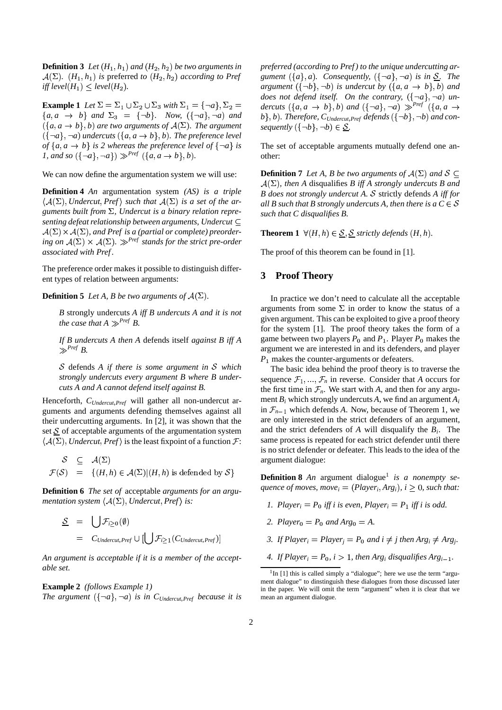**Definition 3** Let  $(H_1, h_1)$  and  $(H_2, h_2)$  be two arguments in  $\mathcal{A}(\Sigma)$ .  $(H_1, h_1)$  is preferred *to*  $(H_2, h_2)$  according *to* Pref  $\inf$  level $(H_1) \le$  level $(H_2)$ .

**Example 1** Let  $\Sigma = \Sigma_1 \cup \Sigma_2 \cup \Sigma_3$  with  $\Sigma_1 = {\neg a}$ ,  $\Sigma_2 = \text{diag}$  $\{a, a \rightarrow b\}$  and  $\Sigma_3 = \{\neg b\}$ . Now,  $(\{\neg a\}, \neg a)$  and  $(\{a, a \rightarrow b\}, b)$  are two arguments of  $\mathcal{A}(\Sigma)$ . The argument  $(\{\neg a\}, \neg a)$  undercuts  $(\{a, a \rightarrow b\}, b)$ . The preference level *of*  $\{a, a \rightarrow b\}$  *is* 2 *whereas the preference level of*  $\{\neg a\}$  *is 1*, and so  $({{\neg a}, {neg}}) \ge {^{Pref}}$   $({a, a \to b}, b)$ .

We can now define the argumentation system we will use:

**Definition 4** *An* argumentation system *(AS) is a triple*  $\langle \mathcal{A}(\Sigma), \mathit{Undercut}, \mathit{Pref} \rangle$  such that  $\mathcal{A}(\Sigma)$  is a set of the ar*guments built from , Undercut is a binary relation representing defeat relationship between arguments, Undercut*  $\mathcal{A}(\Sigma) \times \mathcal{A}(\Sigma)$ , and Pref is a (partial or complete) preorder- $\mathcal{L}$  *ing on*  $\mathcal{A}(\Sigma) \times \mathcal{A}(\Sigma)$ *.*  $\gg^{Pref}$  *stands for the strict pre-order associated with Pref .*

The preference order makes it possible to distinguish different types of relation between arguments:

**Definition 5** Let A, B be two arguments of  $\mathcal{A}(\Sigma)$ .

*B* strongly undercuts *A iff B undercuts A and it is not the case that*  $A \gg^{Pref} B$ .

*If B undercuts A then A* defends itself *against B iff A*  $\gg^{Pref} B$ .

 defends *A if there is some argument in which strongly undercuts every argument B where B undercuts A and A cannot defend itself against B.*

Henceforth, *CUndercut Pref* will gather all non-undercut arguments and arguments defending themselves against all their undercutting arguments. In [2], it was shown that the set  $S$  of acceptable arguments of the argumentation system  $\langle A(\Sigma), \textit{Undercut}, \textit{Pref} \rangle$  is the least fixpoint of a function  $\mathcal{F}$ :

$$
S \subseteq A(\Sigma) \qquad \text{argur}
$$
  

$$
\mathcal{F}(\mathcal{S}) = \{(H, h) \in \mathcal{A}(\Sigma) | (H, h) \text{ is defined by } \mathcal{S}\} \qquad \text{Defer}
$$

**Definition 6** *The set of* acceptable *arguments for an argumentation system*  $\langle \mathcal{A}(\Sigma),U$ ndercut, Pref $\rangle$  is:

$$
\underline{S} = \bigcup \mathcal{F}_{i \geq 0}(\emptyset)
$$
  
=  $C_{Undercut, Pref} \cup [\bigcup \mathcal{F}_{i \geq 1}(C_{Undercut, Pref})]$ 

*An argument is acceptable if it is a member of the acceptable set.*

**Example 2** *(follows Example 1) The argument*  $({{\neg a}, {\neg a})$  *is in*  $C_{Undercut, Pref}$  *because it is* 

*dercuts*  $(\{a, a \rightarrow b\}, b)$  and  $(\{\neg a\}, \neg a) \gg^{Pref} (\{a, a \rightarrow b\})$ *preferred (according to Pref) to the unique undercutting argument*  $(\{a\}, a)$ *. Consequently,*  $(\{\neg a\}, \neg a)$  *is in*  $\underline{S}$ *. The argument*  $({{\neg b}, \neg b})$  *is undercut by*  $({a, a \to b}, b)$  *and does* not defend itself. On the contrary,  $({{\neg a}, {\neg a})$  un $b$ , b). Therefore,  $C_{Undercut, Pref}$  defends  $({{\neg b}, \neg b})$  and con*sequently*  $({\neg b}, \neg b) \in \mathcal{S}$ .

The set of acceptable arguments mutually defend one another:

**Definition 7** Let A, B be two arguments of  $A(\Sigma)$  and  $S \subseteq$  $\mathcal{A}(\Sigma)$ , then A disqualifies *B iff A strongly undercuts B and B does not strongly undercut A.* strictly defends *A iff for all B such that B strongly undercuts A*, *then there is*  $a \, C \in S$ *such that C disqualifies B.*

**Theorem 1**  $\forall (H, h) \in \mathcal{S}, \mathcal{S}$  strictly defends  $(H, h)$ .

The proof of this theorem can be found in [1].

## **3 Proof Theory**

In practice we don't need to calculate all the acceptable arguments from some  $\Sigma$  in order to know the status of a given argument. This can be exploited to give a proof theory for the system [1]. The proof theory takes the form of a game between two players  $P_0$  and  $P_1$ . Player  $P_0$  makes the argument we are interested in and its defenders, and player  $P_1$  makes the counter-arguments or defeaters.

The basic idea behind the proof theory is to traverse the sequence  $\mathcal{F}_1, ..., \mathcal{F}_n$  in reverse. Consider that *A* occurs for the first time in  $\mathcal{F}_n$ . We start with *A*, and then for any argument  $B_i$  which strongly undercuts  $A_i$ , we find an argument  $A_i$ in  $\mathcal{F}_{n-1}$  which defends *A*. Now, because of Theorem 1, we are only interested in the strict defenders of an argument, and the strict defenders of *A* will disqualify the *B<sup>i</sup>* . The same process is repeated for each strict defender until there is no strict defender or defeater. This leads to the idea of the argument dialogue:

**Definition 8** *An* argument dialogue<sup>1</sup> *is a nonempty sequence of moves, move*<sub>*i*</sub> = ( $Player_i$ ,  $Arg_i$ ),  $i \geq 0$ , such that:

- *1. Player*<sub>*i*</sub> =  $P_0$  *iff i is even, Player*<sub>*i*</sub> =  $P_1$  *iff i is odd.*
- *2. Player*<sub>0</sub> =  $P_0$  *and*  $Arg_0 = A$ .
- 3. If  $Player_i = Player_j = P_0$  and  $i \neq j$  then  $Arg_i \neq Arg_j$ .
- *4.* If  $Player_i = P_0$ ,  $i > 1$ , then  $Arg_i$  disqualifies  $Arg_{i-1}$ .

<sup>&</sup>lt;sup>1</sup>In [1] this is called simply a "dialogue"; here we use the term "argument dialogue" to dinstinguish these dialogues from those discussed later in the paper. We will omit the term "argument" when it is clear that we mean an argument dialogue.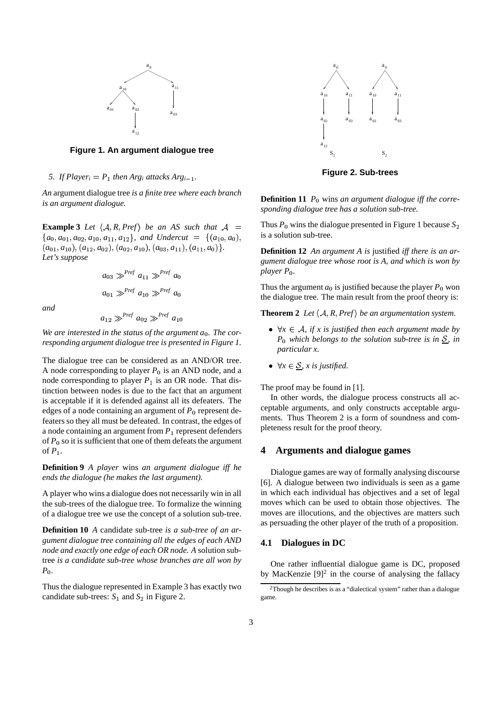

**Figure 1. An argument dialogue tree**

*5. If*  $Player_i = P_1$  *then*  $Arg_i$  *attacks*  $Arg_{i-1}$ *.* 

*An* argument dialogue tree *is a finite tree where each branch is an argument dialogue.*

**Example 3** Let  $\langle A, R, Pref \rangle$  be an AS such that  $A =$  Thus P  ${a_0, a_{01}, a_{02}, a_{10}, a_{11}, a_{12},}$  and Undercut =  ${(a_{10}, a_0),}$  $(a_{01}, a_{10}), (a_{12}, a_{02}), (a_{02}, a_{10}), (a_{03}, a_{11}), (a_{11}, a_{0})\}.$ *Let's suppose*

$$
a_{03} \gg^{Pref} a_{11} \gg^{Pref} a_0
$$
  

$$
a_{01} \gg^{Pref} a_{10} \gg^{Pref} a_0
$$

*and*

$$
a_{12} \gg^{Pref} a_{02} \gg^{Pref} a_{10}
$$

*We* are *interested in the status of the argument*  $a_0$ *. The corresponding argument dialogue tree is presented in Figure 1.*

The dialogue tree can be considered as an AND/OR tree. A node corresponding to player  $P_0$  is an AND node, and a node corresponding to player  $P_1$  is an OR node. That distinction between nodes is due to the fact that an argument is acceptable if it is defended against all its defeaters. The edges of a node containing an argument of  $P_0$  represent defeaters so they all must be defeated. In contrast, the edges of a node containing an argument from  $P_1$  represent defenders of  $P_0$  so it is sufficient that one of them defeats the argument of  $P_1$ .

**Definition 9** *A player* wins *an argument dialogue iff he ends the dialogue (he makes the last argument).*

A player who wins a dialogue does not necessarily win in all the sub-trees of the dialogue tree. To formalize the winning of a dialogue tree we use the concept of a solution sub-tree.

**Definition 10** *A* candidate sub-tree *is a sub-tree of an argument dialogue tree containing all the edges of each AND node and exactly one edge of each OR node. A* solution subtree *is a candidate sub-tree whose branches are all won by*  $P_0$ .

Thus the dialogue represented in Example 3 has exactly two candidate sub-trees:  $S_1$  and  $S_2$  in Figure 2.



**Figure 2. Sub-trees**

**Definition 11**  $P_0$  wins *an argument dialogue iff the corresponding dialogue tree has a solution sub-tree.*

Thus  $P_0$  wins the dialogue presented in Figure 1 because  $S_2$ is a solution sub-tree.

**Definition 12** *An argument A is* justified *iff there is an argument dialogue tree whose root is A, and which is won by player*  $P_0$ *.* 

Thus the argument  $a_0$  is justified because the player  $P_0$  won the dialogue tree. The main result from the proof theory is:

**Theorem 2** *Let*  $\langle A, R, Pref \rangle$  *be an argumentation system.* 

- $\forall x \in A$ , if x is justified then each argument made by  $P_0$  *which belongs to the solution sub-tree is in*  $S$ , *in particular x.*
- $\forall x \in \mathcal{S}, x \text{ is justified.}$

The proof may be found in [1].

In other words, the dialogue process constructs all acceptable arguments, and only constructs acceptable arguments. Thus Theorem 2 is a form of soundness and completeness result for the proof theory.

### **4 Arguments and dialogue games**

Dialogue games are way of formally analysing discourse [6]. A dialogue between two individuals is seen as a game in which each individual has objectives and a set of legal moves which can be used to obtain those objectives. The moves are illocutions, and the objectives are matters such as persuading the other player of the truth of a proposition.

#### **4.1 Dialogues in DC**

One rather influential dialogue game is DC, proposed by MacKenzie  $[9]^2$  in the course of analysing the fallacy

<sup>2</sup>Though he describes is as a "dialectical system" rather than a dialogue game.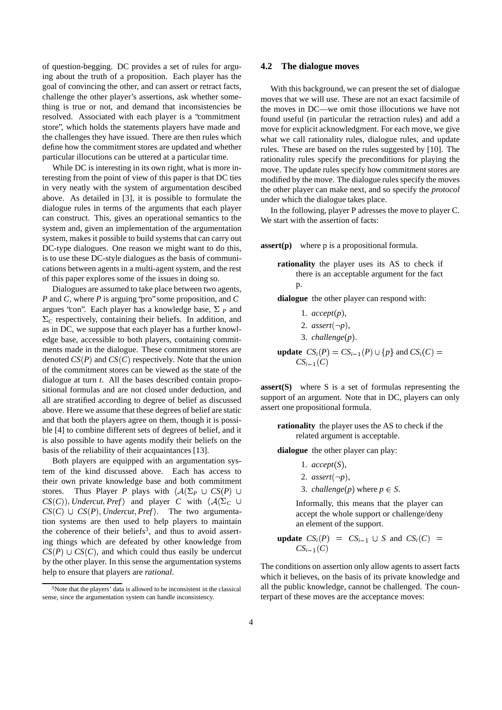of question-begging. DC provides a set of rules for arguing about the truth of a proposition. Each player has the goal of convincing the other, and can assert or retract facts, challenge the other player's assertions, ask whether something is true or not, and demand that inconsistencies be resolved. Associated with each player is a "commitment store", which holds the statements players have made and the challenges they have issued. There are then rules which define how the commitment stores are updated and whether particular illocutions can be uttered at a particular time.

While DC is interesting in its own right, what is more interesting from the point of view of this paper is that DC ties in very neatly with the system of argumentation descibed above. As detailed in [3], it is possible to formulate the dialogue rules in terms of the arguments that each player can construct. This, gives an operational semantics to the system and, given an implementation of the argumentation system, makes it possible to build systems that can carry out DC-type dialogues. One reason we might want to do this, is to use these DC-style dialogues as the basis of communications between agents in a multi-agent system, and the rest of this paper explores some of the issues in doing so.

Dialogues are assumed to take place between two agents, *P* and *C*, where *P* is arguing "pro" some proposition, and *C* argues 'con''. Each player has a knowledge base,  $\Sigma$   $_P$  and  $\Sigma_c$  respectively, containing their beliefs. In addition, and as in DC, we suppose that each player has a further knowledge base, accessible to both players, containing commitments made in the dialogue. These commitment stores are denoted  $CS(P)$  and  $CS(C)$  respectively. Note that the union of the commitment stores can be viewed as the state of the dialogue at turn *t*. All the bases described contain propositional formulas and are not closed under deduction, and all are stratified according to degree of belief as discussed above. Here we assume that these degrees of belief are static and that both the players agree on them, though it is possible [4] to combine different sets of degrees of belief, and it is also possible to have agents modify their beliefs on the basis of the reliability of their acquaintances [13].

Both players are equipped with an argumentation system of the kind discussed above. Each has access to their own private knowledge base and both commitment stores. Thus Player *P* plays with  $\langle A(\Sigma_P \cup \text{CS}(P) \cup$  $CS(C)$ , Undercut, Pref) and player C with  $\langle A(\Sigma_C \cup$  $CS(C) \cup CS(P)$ , *Undercut*, *Pref* $\rangle$ . The two argumentation systems are then used to help players to maintain the coherence of their beliefs<sup>3</sup>, and thus to avoid asserting things which are defeated by other knowledge from  $CS(P) \cup CS(C)$ , and which could thus easily be undercut by the other player. In this sense the argumentation systems help to ensure that players are *rational*.

#### **4.2 The dialogue moves**

With this background, we can present the set of dialogue moves that we will use. These are not an exact facsimile of the moves in DC—we omit those illocutions we have not found useful (in particular the retraction rules) and add a move for explicit acknowledgment. For each move, we give what we call rationality rules, dialogue rules, and update rules. These are based on the rules suggested by [10]. The rationality rules specify the preconditions for playing the move. The update rules specify how commitment stores are modified by the move. The dialogue rules specify the moves the other player can make next, and so specify the *protocol* under which the dialogue takes place.

In the following, player P adresses the move to player C. We start with the assertion of facts:

**assert(p)** where p is a propositional formula.

**rationality** the player uses its AS to check if there is an acceptable argument for the fact p.

**dialogue** the other player can respond with:

1.  $accept(p)$ , 2.  $assert(\neg p)$ , 3.  $challenge(p)$ . **update**  $CS_i(P) = CS_{i-1}(P) \cup \{p\}$  and  $CS_i(C) =$  $CS_{i-1}(C)$ 

**assert(S)** where S is a set of formulas representing the support of an argument. Note that in DC, players can only assert one propositional formula.

**rationality** the player uses the AS to check if the related argument is acceptable.

**dialogue** the other player can play:

- 1.  $accept(S)$ ,
- 2.  $assert(\neg p)$ ,
- 3. *challenge*( $p$ ) where  $p \in S$ .

Informally, this means that the player can accept the whole support or challenge/deny an element of the support.

**update** 
$$
CS_i(P) = CS_{i-1} \cup S
$$
 and  $CS_i(C) = CS_{i-1}(C)$ 

The conditions on assertion only allow agents to assert facts which it believes, on the basis of its private knowledge and all the public knowledge, cannot be challenged. The counterpart of these moves are the acceptance moves:

<sup>&</sup>lt;sup>3</sup>Note that the players' data is allowed to be inconsistent in the classical sense, since the argumentation system can handle inconsistency.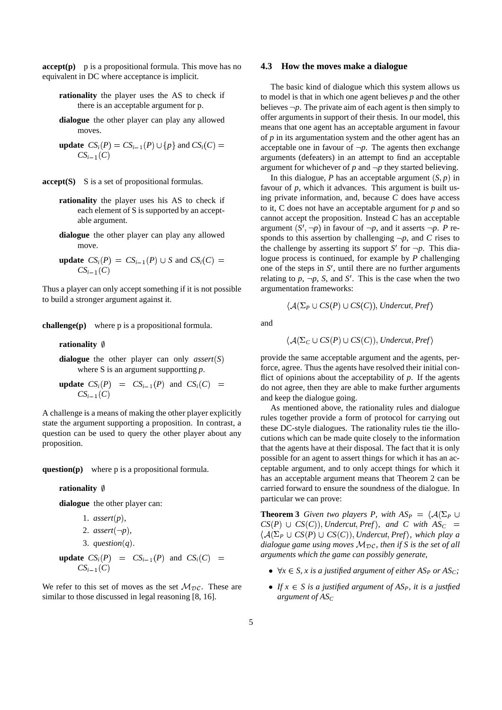**accept(p)** p is a propositional formula. This move has no equivalent in DC where acceptance is implicit.

- **rationality** the player uses the AS to check if there is an acceptable argument for p.
- **dialogue** the other player can play any allowed moves.

**update** 
$$
CS_i(P) = CS_{i-1}(P) \cup \{p\}
$$
 and  $CS_i(C) = CS_{i-1}(C)$ 

**accept(S)** S is a set of propositional formulas.

- **rationality** the player uses his AS to check if each element of S is supported by an acceptable argument.
- **dialogue** the other player can play any allowed move.

**update** 
$$
CS_i(P) = CS_{i-1}(P) \cup S
$$
 and  $CS_i(C) = CS_{i-1}(C)$ 

Thus a player can only accept something if it is not possible to build a stronger argument against it.

**challenge(p)** where p is a propositional formula.

**rationality**  $\emptyset$ 

**dialogue** the other player can only *assert*( $S$ ) where S is an argument supportting *p*.

**update** 
$$
CS_i(P) = CS_{i-1}(P)
$$
 and  $CS_i(C) = CS_{i-1}(C)$ 

A challenge is a means of making the other player explicitly state the argument supporting a proposition. In contrast, a question can be used to query the other player about any proposition.

**question(p)** where p is a propositional formula.

#### **rationality**  $\emptyset$

**dialogue** the other player can:

1. 
$$
assert(p)
$$
,  
2.  $assert(\neg p)$ ,

3. question
$$
(q)
$$
.

**update** 
$$
CS_i(P) = CS_{i-1}(P)
$$
 and  $CS_i(C) = CS_{i-1}(C)$ 

We refer to this set of moves as the set  $M_{DC}$ . These are similar to those discussed in legal reasoning [8, 16].

#### **4.3 How the moves make a dialogue**

acceptable one in favour of  $\neg p$ . The agents then exchange The basic kind of dialogue which this system allows us to model is that in which one agent believes *p* and the other believes  $\neg p$ . The private aim of each agent is then simply to offer arguments in support of their thesis. In our model, this means that one agent has an acceptable argument in favour of *p* in its argumentation system and the other agent has an arguments (defeaters) in an attempt to find an acceptable argument for whichever of  $p$  and  $\neg p$  they started believing.

 logue process is continued, for example by *P* challenging In this dialogue,  $P$  has an acceptable argument  $(S, p)$  in favour of *p*, which it advances. This argument is built using private information, and, because *C* does have access to it, C does not have an acceptable argument for *p* and so cannot accept the proposition. Instead *C* has an acceptable argument  $(S', \neg p)$  in favour of  $\neg p$ , and it asserts  $\neg p$ . *P* responds to this assertion by challenging  $\neg p$ , and *C* rises to the challenge by asserting its support *S'* for  $\neg p$ . This diaone of the steps in  $S'$ , until there are no further arguments relating to  $p$ ,  $\neg p$ , *S*, and *S'*. This is the case when the two argumentation frameworks:

$$
\langle A(\Sigma_P \cup CS(P) \cup CS(C)), Undercut, Pref \rangle
$$

and

$$
\langle \mathcal{A}(\Sigma_C \cup \mathit{CS}(P) \cup \mathit{CS}(C)), \mathit{Undercut}, \mathit{Pref} \rangle
$$

 flict of opinions about the acceptability of *p*. If the agents provide the same acceptable argument and the agents, perforce, agree. Thus the agents have resolved their initial condo not agree, then they are able to make further arguments and keep the dialogue going.

As mentioned above, the rationality rules and dialogue rules together provide a form of protocol for carrying out these DC-style dialogues. The rationality rules tie the illocutions which can be made quite closely to the information that the agents have at their disposal. The fact that it is only possible for an agent to assert things for which it has an acceptable argument, and to only accept things for which it has an acceptable argument means that Theorem 2 can be carried forward to ensure the soundness of the dialogue. In particular we can prove:

 *arguments which the game can possibly generate,* **Theorem 3** Given two players P, with  $AS_P = \langle A(\Sigma_P \cup$  $CS(P) \cup CS(C)$ , *Undercut*, *Pref*), and *C* with  $AS_C =$  $\langle \mathcal{A}(\Sigma_P \cup \mathit{CS}(P) \cup \mathit{CS}(C)), \mathit{Undercut}, \mathit{Pref}\rangle$ , which play a *dialogue game using moves*  $M_{DC}$ *, then if S is the set of all* 

- $\forall x \in S$ , *x* is a justified argument of either  $AS_P$  or  $AS_C$ ;
- *If*  $x \in S$  *is a justified argument of*  $AS_P$ *, it is a justfied argument of AS<sup>C</sup>*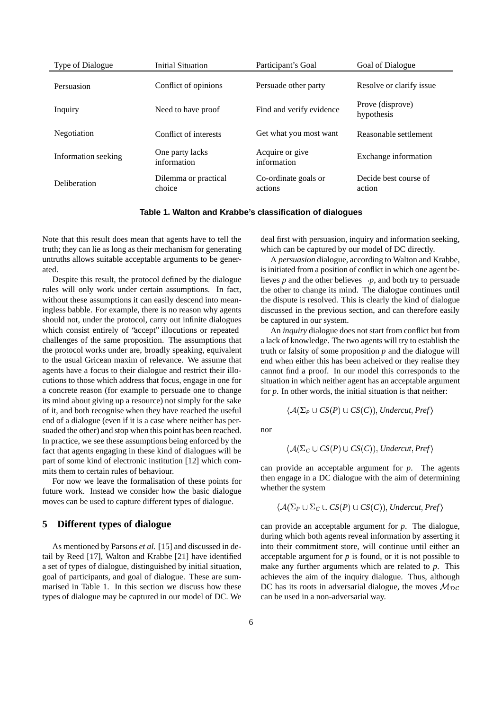| Type of Dialogue    | Initial Situation              | Participant's Goal              | <b>Goal of Dialogue</b>         |
|---------------------|--------------------------------|---------------------------------|---------------------------------|
| Persuasion          | Conflict of opinions           | Persuade other party            | Resolve or clarify issue.       |
| Inquiry             | Need to have proof             | Find and verify evidence        | Prove (disprove)<br>hypothesis  |
| Negotiation         | Conflict of interests          | Get what you most want          | Reasonable settlement           |
| Information seeking | One party lacks<br>information | Acquire or give<br>information  | Exchange information            |
| Deliberation        | Dilemma or practical<br>choice | Co-ordinate goals or<br>actions | Decide best course of<br>action |

**Table 1. Walton and Krabbe's classification of dialogues**

Note that this result does mean that agents have to tell the truth; they can lie as long as their mechanism for generating untruths allows suitable acceptable arguments to be generated.

Despite this result, the protocol defined by the dialogue rules will only work under certain assumptions. In fact, without these assumptions it can easily descend into meaningless babble. For example, there is no reason why agents should not, under the protocol, carry out infinite dialogues which consist entirely of "accept" illocutions or repeated challenges of the same proposition. The assumptions that the protocol works under are, broadly speaking, equivalent to the usual Gricean maxim of relevance. We assume that agents have a focus to their dialogue and restrict their illocutions to those which address that focus, engage in one for a concrete reason (for example to persuade one to change its mind about giving up a resource) not simply for the sake of it, and both recognise when they have reached the useful end of a dialogue (even if it is a case where neither has persuaded the other) and stop when this point has been reached. In practice, we see these assumptions being enforced by the fact that agents engaging in these kind of dialogues will be part of some kind of electronic institution [12] which commits them to certain rules of behaviour.

For now we leave the formalisation of these points for future work. Instead we consider how the basic dialogue moves can be used to capture different types of dialogue.

### **5 Different types of dialogue**

As mentioned by Parsons *et al.* [15] and discussed in detail by Reed [17], Walton and Krabbe [21] have identified a set of types of dialogue, distinguished by initial situation, goal of participants, and goal of dialogue. These are summarised in Table 1. In this section we discuss how these types of dialogue may be captured in our model of DC. We

deal first with persuasion, inquiry and information seeking, which can be captured by our model of DC directly.

A *persuasion* dialogue, according to Walton and Krabbe, is initiated from a position of conflict in which one agent believes  $p$  and the other believes  $\neg p$ , and both try to persuade the other to change its mind. The dialogue continues until the dispute is resolved. This is clearly the kind of dialogue discussed in the previous section, and can therefore easily be captured in our system.

An *inquiry* dialogue does not start from conflict but from a lack of knowledge. The two agents will try to establish the truth or falsity of some proposition *p* and the dialogue will end when either this has been acheived or they realise they cannot find a proof. In our model this corresponds to the situation in which neither agent has an acceptable argument for *p*. In other words, the initial situation is that neither:

$$
\langle A(\Sigma_P \cup CS(P) \cup CS(C)), \text{Undercut}, \text{Pref} \rangle
$$

nor

$$
\langle A(\Sigma_C \cup CS(P) \cup CS(C)), \text{Undercut}, \text{Pref} \rangle
$$

can provide an acceptable argument for *p*. The agents then engage in a DC dialogue with the aim of determining whether the system

$$
\langle A(\Sigma_P \cup \Sigma_C \cup CS(P) \cup CS(C)), \text{Undercut}, \text{Pref} \rangle
$$

can provide an acceptable argument for *p*. The dialogue, during which both agents reveal information by asserting it into their commitment store, will continue until either an acceptable argument for *p* is found, or it is not possible to make any further arguments which are related to *p*. This achieves the aim of the inquiry dialogue. Thus, although DC has its roots in adversarial dialogue, the moves  $M_{DC}$ can be used in a non-adversarial way.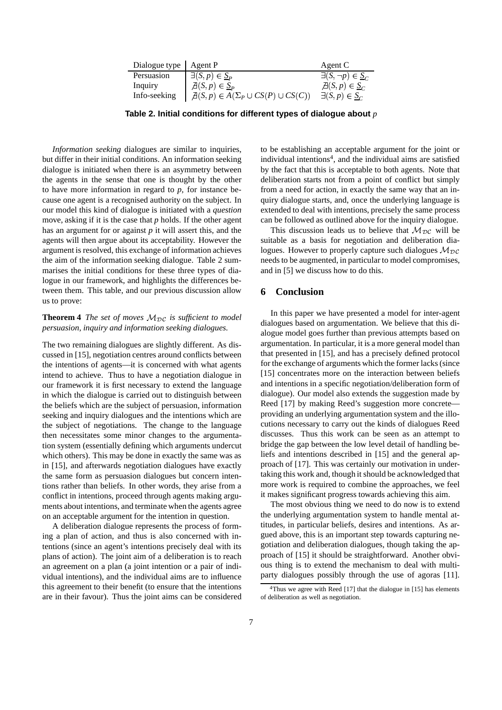| Dialogue type $ $ Agent P |                                                               | Agent C                                     |
|---------------------------|---------------------------------------------------------------|---------------------------------------------|
| Persuasion                | $\exists (S, p) \in \underline{S}_P$                          | $\exists (S, \neg p) \in \underline{S}_C$   |
| Inquiry                   | $\exists (S, p) \in \underline{S}_P$                          | $\overline{\beta}(S,p) \in \underline{S}_C$ |
| Info-seeking              | $\mid \mathcal{A}(S,p) \in A(\Sigma_P \cup CS(P) \cup CS(C))$ | $\exists (S, p) \in S_C$                    |

**Table 2. Initial conditions for different types of dialogue about** *p*

*Information seeking* dialogues are similar to inquiries, but differ in their initial conditions. An information seeking dialogue is initiated when there is an asymmetry between the agents in the sense that one is thought by the other to have more information in regard to *p*, for instance because one agent is a recognised authority on the subject. In our model this kind of dialogue is initiated with a *question* move, asking if it is the case that *p* holds. If the other agent has an argument for or against *p* it will assert this, and the agents will then argue about its acceptability. However the argument is resolved, this exchange of information achieves the aim of the information seeking dialogue. Table 2 summarises the initial conditions for these three types of dialogue in our framework, and highlights the differences between them. This table, and our previous discussion allow us to prove:

## **Theorem 4** *The set of moves*  $M_{DC}$  *is sufficient to model persuasion, inquiry and information seeking dialogues.*

The two remaining dialogues are slightly different. As discussed in [15], negotiation centres around conflicts between the intentions of agents—it is concerned with what agents intend to achieve. Thus to have a negotiation dialogue in our framework it is first necessary to extend the language in which the dialogue is carried out to distinguish between the beliefs which are the subject of persuasion, information seeking and inquiry dialogues and the intentions which are the subject of negotiations. The change to the language then necessitates some minor changes to the argumentation system (essentially defining which arguments undercut which others). This may be done in exactly the same was as in [15], and afterwards negotiation dialogues have exactly the same form as persuasion dialogues but concern intentions rather than beliefs. In other words, they arise from a conflict in intentions, proceed through agents making arguments about intentions, and terminate when the agents agree on an acceptable argument for the intention in question.

A deliberation dialogue represents the process of forming a plan of action, and thus is also concerned with intentions (since an agent's intentions precisely deal with its plans of action). The joint aim of a deliberation is to reach an agreement on a plan (a joint intention or a pair of individual intentions), and the individual aims are to influence this agreement to their benefit (to ensure that the intentions are in their favour). Thus the joint aims can be considered to be establishing an acceptable argument for the joint or individual intentions<sup>4</sup>, and the individual aims are satisfied by the fact that this is acceptable to both agents. Note that deliberation starts not from a point of conflict but simply from a need for action, in exactly the same way that an inquiry dialogue starts, and, once the underlying language is extended to deal with intentions, precisely the same process can be followed as outlined above for the inquiry dialogue.

This discussion leads us to believe that  $M_{DC}$  will be suitable as a basis for negotiation and deliberation dialogues. However to properly capture such dialogues  $\mathcal{M}_{\mathcal{DC}}$ needs to be augmented, in particular to model compromises, and in [5] we discuss how to do this.

# **6 Conclusion**

In this paper we have presented a model for inter-agent dialogues based on argumentation. We believe that this dialogue model goes further than previous attempts based on argumentation. In particular, it is a more general model than that presented in [15], and has a precisely defined protocol for the exchange of arguments which the former lacks(since [15] concentrates more on the interaction between beliefs and intentions in a specific negotiation/deliberation form of dialogue). Our model also extends the suggestion made by Reed [17] by making Reed's suggestion more concrete providing an underlying argumentation system and the illocutions necessary to carry out the kinds of dialogues Reed discusses. Thus this work can be seen as an attempt to bridge the gap between the low level detail of handling beliefs and intentions described in [15] and the general approach of [17]. This was certainly our motivation in undertaking this work and, though it should be acknowledged that more work is required to combine the approaches, we feel it makes significant progress towards achieving this aim.

The most obvious thing we need to do now is to extend the underlying argumentation system to handle mental attitudes, in particular beliefs, desires and intentions. As argued above, this is an important step towards capturing negotiation and deliberation dialogues, though taking the approach of [15] it should be straightforward. Another obvious thing is to extend the mechanism to deal with multiparty dialogues possibly through the use of agoras [11].

<sup>&</sup>lt;sup>4</sup>Thus we agree with Reed [17] that the dialogue in [15] has elements of deliberation as well as negotiation.